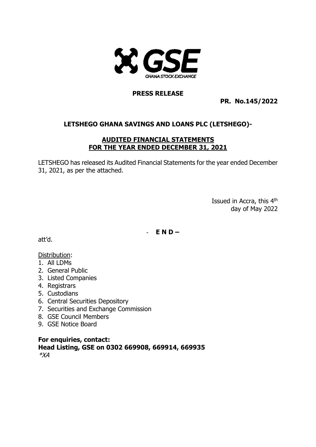

## **PRESS RELEASE**

**PR. No.145/2022**

# **LETSHEGO GHANA SAVINGS AND LOANS PLC (LETSHEGO)-**

## **AUDITED FINANCIAL STATEMENTS FOR THE YEAR ENDED DECEMBER 31, 2021**

LETSHEGO has released its Audited Financial Statements for the year ended December 31, 2021, as per the attached.

> Issued in Accra, this 4<sup>th</sup> day of May 2022

- **E N D –**

att'd.

## Distribution:

- 1. All LDMs
- 2. General Public
- 3. Listed Companies
- 4. Registrars
- 5. Custodians
- 6. Central Securities Depository
- 7. Securities and Exchange Commission
- 8. GSE Council Members
- 9. GSE Notice Board

**For enquiries, contact: Head Listing, GSE on 0302 669908, 669914, 669935** \*XA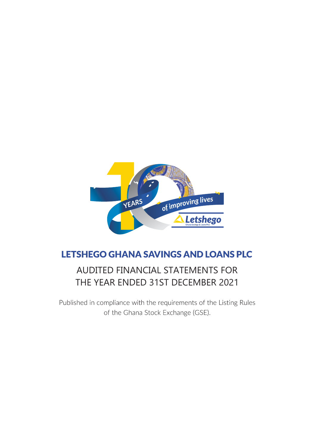

# **LETSHEGO GHANA SAVINGS AND LOANS PLC**

# AUDITED FINANCIAL STATEMENTS FOR THE YEAR ENDED 31ST DECEMBER 2021

Published in compliance with the requirements of the Listing Rules of the Ghana Stock Exchange (GSE).